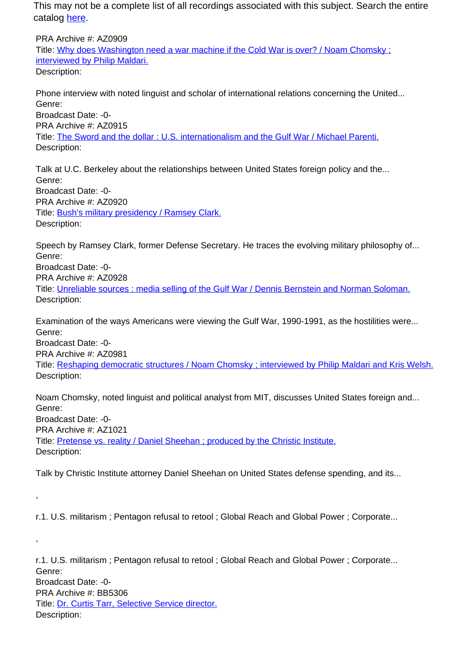PRA Archive #: AZ0909 Title: Why does Washington need a war machine if the Cold War is over? / Noam Chomsky ; interviewed by Philip Maldari. Description:

Phone interview with noted linguist and scholar of international relations concerning the United... Genre: Broadcast Date: -0- PRA Archive #: AZ0915 Title: The Sword and the dollar : U.S. internationalism and the Gulf War / Michael Parenti. Description:

Talk at U.C. Berkeley about the relationships between United States foreign policy and the... Genre: Broadcast Date: -0- PRA Archive #: AZ0920 Title: Bush's military presidency / Ramsey Clark. Description:

Speech by Ramsey Clark, former Defense Secretary. He traces the evolving military philosophy of... Genre: Broadcast Date: -0- PRA Archive #: AZ0928 Title: Unreliable sources : media selling of the Gulf War / Dennis Bernstein and Norman Soloman. Description:

Examination of the ways Americans were viewing the Gulf War, 1990-1991, as the hostilities were... Genre: Broadcast Date: -0-

PRA Archive #: AZ0981

,

,

Title: Reshaping democratic structures / Noam Chomsky ; interviewed by Philip Maldari and Kris Welsh. Description:

Noam Chomsky, noted linguist and political analyst from MIT, discusses United States foreign and... Genre: Broadcast Date: -0- PRA Archive #: AZ1021 Title: Pretense vs. reality / Daniel Sheehan ; produced by the Christic Institute. Description:

Talk by Christic Institute attorney Daniel Sheehan on United States defense spending, and its...

r.1. U.S. militarism ; Pentagon refusal to retool ; Global Reach and Global Power ; Corporate...

r.1. U.S. militarism ; Pentagon refusal to retool ; Global Reach and Global Power ; Corporate... Genre: Broadcast Date: -0- PRA Archive #: BB5306 Title: Dr. Curtis Tarr, Selective Service director. Description: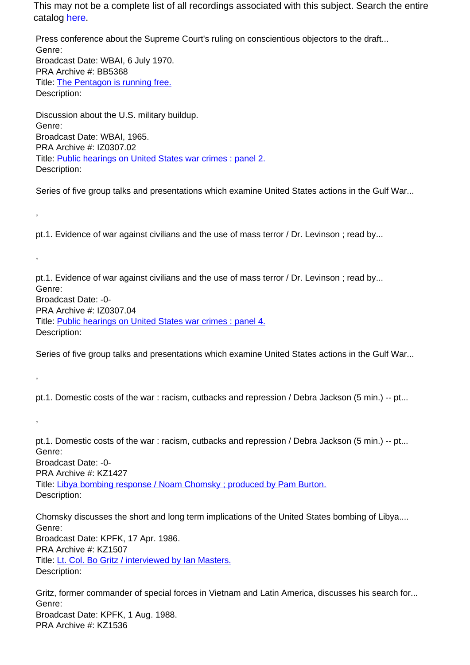Press conference about the Supreme Court's ruling on conscientious objectors to the draft... Genre: Broadcast Date: WBAI, 6 July 1970. PRA Archive #: BB5368 Title: The Pentagon is running free. Description:

Discussion about the U.S. military buildup. Genre: Broadcast Date: WBAI, 1965. PRA Archive #: IZ0307.02 Title: Public hearings on United States war crimes : panel 2. Description:

,

,

,

,

Series of five group talks and presentations which examine United States actions in the Gulf War...

pt.1. Evidence of war against civilians and the use of mass terror / Dr. Levinson ; read by...

pt.1. Evidence of war against civilians and the use of mass terror / Dr. Levinson ; read by... Genre: Broadcast Date: -0- PRA Archive #: IZ0307.04 Title: Public hearings on United States war crimes : panel 4. Description:

Series of five group talks and presentations which examine United States actions in the Gulf War...

pt.1. Domestic costs of the war : racism, cutbacks and repression / Debra Jackson (5 min.) -- pt...

pt.1. Domestic costs of the war : racism, cutbacks and repression / Debra Jackson (5 min.) -- pt... Genre: Broadcast Date: -0- PRA Archive #: KZ1427 Title: Libya bombing response / Noam Chomsky ; produced by Pam Burton. Description:

Chomsky discusses the short and long term implications of the United States bombing of Libya.... Genre: Broadcast Date: KPFK, 17 Apr. 1986. PRA Archive #: KZ1507 Title: Lt. Col. Bo Gritz / interviewed by Ian Masters. Description:

Gritz, former commander of special forces in Vietnam and Latin America, discusses his search for... Genre: Broadcast Date: KPFK, 1 Aug. 1988. PRA Archive #: KZ1536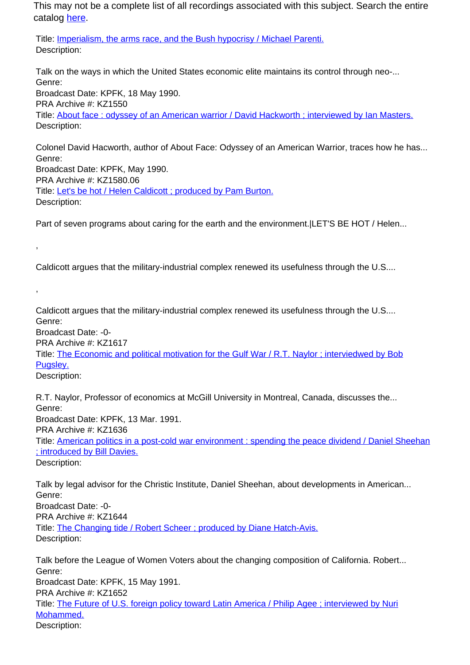Title: **Imperialism, the arms race, and the Bush hypocrisy / Michael Parenti.** Description:

Talk on the ways in which the United States economic elite maintains its control through neo-... Genre: Broadcast Date: KPFK, 18 May 1990. PRA Archive #: KZ1550 Title: About face : odyssey of an American warrior / David Hackworth ; interviewed by Ian Masters. Description:

Colonel David Hacworth, author of About Face: Odyssey of an American Warrior, traces how he has... Genre: Broadcast Date: KPFK, May 1990. PRA Archive #: KZ1580.06 Title: Let's be hot / Helen Caldicott ; produced by Pam Burton. Description:

Part of seven programs about caring for the earth and the environment.|LET'S BE HOT / Helen...

Caldicott argues that the military-industrial complex renewed its usefulness through the U.S....

Caldicott argues that the military-industrial complex renewed its usefulness through the U.S.... Genre:

Broadcast Date: -0-

PRA Archive #: KZ1617

Title: The Economic and political motivation for the Gulf War / R.T. Naylor ; interviedwed by Bob Pugsley.

Description:

,

,

R.T. Naylor, Professor of economics at McGill University in Montreal, Canada, discusses the... Genre: Broadcast Date: KPFK, 13 Mar. 1991. PRA Archive #: KZ1636 Title: American politics in a post-cold war environment : spending the peace dividend / Daniel Sheehan ; introduced by Bill Davies. Description:

Talk by legal advisor for the Christic Institute, Daniel Sheehan, about developments in American... Genre: Broadcast Date: -0- PRA Archive #: KZ1644 Title: The Changing tide / Robert Scheer ; produced by Diane Hatch-Avis. Description:

Talk before the League of Women Voters about the changing composition of California. Robert... Genre: Broadcast Date: KPFK, 15 May 1991. PRA Archive #: KZ1652 Title: The Future of U.S. foreign policy toward Latin America / Philip Agee ; interviewed by Nuri Mohammed. Description: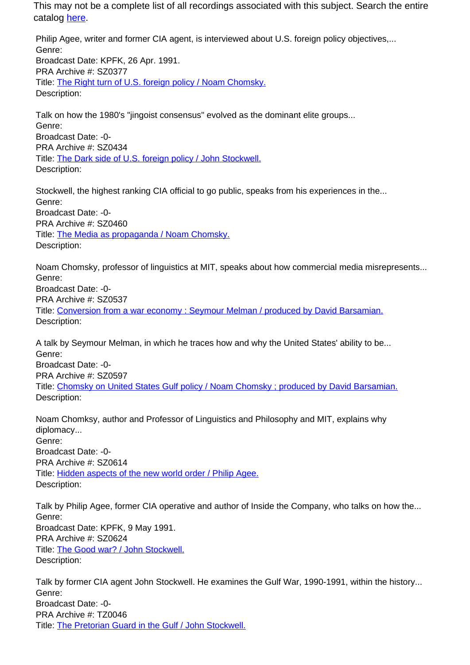Philip Agee, writer and former CIA agent, is interviewed about U.S. foreign policy objectives,... Genre: Broadcast Date: KPFK, 26 Apr. 1991. PRA Archive #: SZ0377 Title: The Right turn of U.S. foreign policy / Noam Chomsky. Description:

Talk on how the 1980's "jingoist consensus" evolved as the dominant elite groups... Genre: Broadcast Date: -0- PRA Archive #: SZ0434 Title: The Dark side of U.S. foreign policy / John Stockwell. Description:

Stockwell, the highest ranking CIA official to go public, speaks from his experiences in the... Genre: Broadcast Date: -0- PRA Archive #: SZ0460 Title: The Media as propaganda / Noam Chomsky. Description:

Noam Chomsky, professor of linguistics at MIT, speaks about how commercial media misrepresents... Genre: Broadcast Date: -0- PRA Archive #: SZ0537 Title: Conversion from a war economy: Seymour Melman / produced by David Barsamian. Description:

A talk by Seymour Melman, in which he traces how and why the United States' ability to be... Genre: Broadcast Date: -0- PRA Archive #: SZ0597 Title: Chomsky on United States Gulf policy / Noam Chomsky ; produced by David Barsamian. Description:

Noam Chomksy, author and Professor of Linguistics and Philosophy and MIT, explains why diplomacy... Genre: Broadcast Date: -0- PRA Archive #: SZ0614 Title: Hidden aspects of the new world order / Philip Agee. Description:

Talk by Philip Agee, former CIA operative and author of Inside the Company, who talks on how the... Genre: Broadcast Date: KPFK, 9 May 1991. PRA Archive #: SZ0624 Title: The Good war? / John Stockwell. Description:

Talk by former CIA agent John Stockwell. He examines the Gulf War, 1990-1991, within the history... Genre: Broadcast Date: -0- PRA Archive #: TZ0046 Title: The Pretorian Guard in the Gulf / John Stockwell.